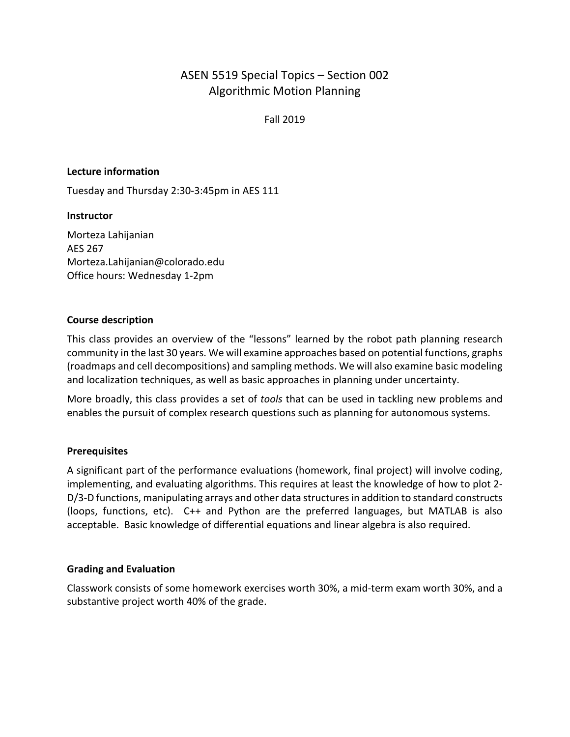# ASEN 5519 Special Topics – Section 002 Algorithmic Motion Planning

Fall 2019

#### **Lecture information**

Tuesday and Thursday 2:30-3:45pm in AES 111

#### **Instructor**

Morteza Lahijanian AES 267 Morteza.Lahijanian@colorado.edu Office hours: Wednesday 1-2pm

## **Course description**

This class provides an overview of the "lessons" learned by the robot path planning research community in the last 30 years. We will examine approaches based on potential functions, graphs (roadmaps and cell decompositions) and sampling methods. We will also examine basic modeling and localization techniques, as well as basic approaches in planning under uncertainty.

More broadly, this class provides a set of *tools* that can be used in tackling new problems and enables the pursuit of complex research questions such as planning for autonomous systems.

#### **Prerequisites**

A significant part of the performance evaluations (homework, final project) will involve coding, implementing, and evaluating algorithms. This requires at least the knowledge of how to plot 2- D/3-D functions, manipulating arrays and other data structures in addition to standard constructs (loops, functions, etc). C++ and Python are the preferred languages, but MATLAB is also acceptable. Basic knowledge of differential equations and linear algebra is also required.

#### **Grading and Evaluation**

Classwork consists of some homework exercises worth 30%, a mid-term exam worth 30%, and a substantive project worth 40% of the grade.